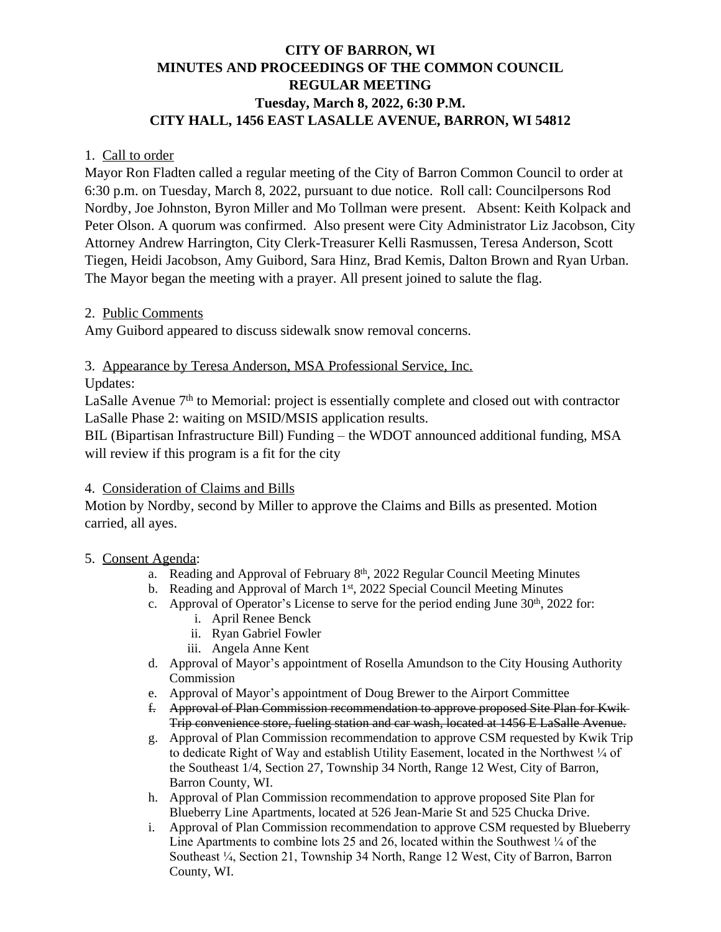# **CITY OF BARRON, WI MINUTES AND PROCEEDINGS OF THE COMMON COUNCIL REGULAR MEETING Tuesday, March 8, 2022, 6:30 P.M. CITY HALL, 1456 EAST LASALLE AVENUE, BARRON, WI 54812**

### 1. Call to order

Mayor Ron Fladten called a regular meeting of the City of Barron Common Council to order at 6:30 p.m. on Tuesday, March 8, 2022, pursuant to due notice. Roll call: Councilpersons Rod Nordby, Joe Johnston, Byron Miller and Mo Tollman were present. Absent: Keith Kolpack and Peter Olson. A quorum was confirmed. Also present were City Administrator Liz Jacobson, City Attorney Andrew Harrington, City Clerk-Treasurer Kelli Rasmussen, Teresa Anderson, Scott Tiegen, Heidi Jacobson, Amy Guibord, Sara Hinz, Brad Kemis, Dalton Brown and Ryan Urban. The Mayor began the meeting with a prayer. All present joined to salute the flag.

### 2. Public Comments

Amy Guibord appeared to discuss sidewalk snow removal concerns.

3. Appearance by Teresa Anderson, MSA Professional Service, Inc.

Updates:

LaSalle Avenue  $7<sup>th</sup>$  to Memorial: project is essentially complete and closed out with contractor LaSalle Phase 2: waiting on MSID/MSIS application results.

BIL (Bipartisan Infrastructure Bill) Funding – the WDOT announced additional funding, MSA will review if this program is a fit for the city

## 4. Consideration of Claims and Bills

Motion by Nordby, second by Miller to approve the Claims and Bills as presented. Motion carried, all ayes.

## 5. Consent Agenda:

- a. Reading and Approval of February 8th, 2022 Regular Council Meeting Minutes
- b. Reading and Approval of March 1<sup>st</sup>, 2022 Special Council Meeting Minutes
- c. Approval of Operator's License to serve for the period ending June  $30<sup>th</sup>$ , 2022 for:
	- i. April Renee Benck
	- ii. Ryan Gabriel Fowler
	- iii. Angela Anne Kent
- d. Approval of Mayor's appointment of Rosella Amundson to the City Housing Authority Commission
- e. Approval of Mayor's appointment of Doug Brewer to the Airport Committee
- f. Approval of Plan Commission recommendation to approve proposed Site Plan for Kwik Trip convenience store, fueling station and car wash, located at 1456 E LaSalle Avenue.
- g. Approval of Plan Commission recommendation to approve CSM requested by Kwik Trip to dedicate Right of Way and establish Utility Easement, located in the Northwest  $\frac{1}{4}$  of the Southeast 1/4, Section 27, Township 34 North, Range 12 West, City of Barron, Barron County, WI.
- h. Approval of Plan Commission recommendation to approve proposed Site Plan for Blueberry Line Apartments, located at 526 Jean-Marie St and 525 Chucka Drive.
- i. Approval of Plan Commission recommendation to approve CSM requested by Blueberry Line Apartments to combine lots 25 and 26, located within the Southwest  $\frac{1}{4}$  of the Southeast ¼, Section 21, Township 34 North, Range 12 West, City of Barron, Barron County, WI.